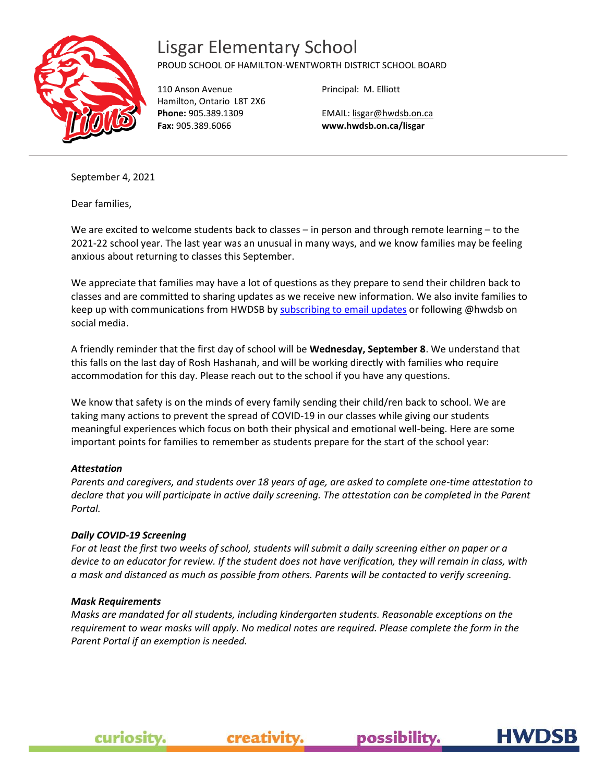

## Lisgar Elementary School

### PROUD SCHOOL OF HAMILTON-WENTWORTH DISTRICT SCHOOL BOARD

110 Anson Avenue Hamilton, Ontario L8T 2X6 **Phone:** 905.389.1309 **Fax:** 905.389.6066

Principal: M. Elliott

EMAIL[: lisgar@hwdsb.on.ca](mailto:lisgar@hwdsb.on.ca) **www.hwdsb.on.ca/lisgar**

September 4, 2021

Dear families,

We are excited to welcome students back to classes – in person and through remote learning – to the 2021-22 school year. The last year was an unusual in many ways, and we know families may be feeling anxious about returning to classes this September.

We appreciate that families may have a lot of questions as they prepare to send their children back to classes and are committed to sharing updates as we receive new information. We also invite families to keep up with communications from HWDSB b[y subscribing to email updates](https://www.hwdsb.on.ca/about/media/subscribe/) or following @hwdsb on social media.

A friendly reminder that the first day of school will be **Wednesday, September 8**. We understand that this falls on the last day of Rosh Hashanah, and will be working directly with families who require accommodation for this day. Please reach out to the school if you have any questions.

We know that safety is on the minds of every family sending their child/ren back to school. We are taking many actions to prevent the spread of COVID-19 in our classes while giving our students meaningful experiences which focus on both their physical and emotional well-being. Here are some important points for families to remember as students prepare for the start of the school year:

### *Attestation*

*Parents and caregivers, and students over 18 years of age, are asked to complete one-time attestation to declare that you will participate in active daily screening. The attestation can be completed in the Parent Portal.*

#### *Daily COVID-19 Screening*

*For at least the first two weeks of school, students will submit a daily screening either on paper or a device to an educator for review. If the student does not have verification, they will remain in class, with a mask and distanced as much as possible from others. Parents will be contacted to verify screening.*

#### *Mask Requirements*

curiosity.

*Masks are mandated for all students, including kindergarten students. Reasonable exceptions on the requirement to wear masks will apply. No medical notes are required. Please complete the form in the Parent Portal if an exemption is needed.*

possibility.

creativity.

**HWDS**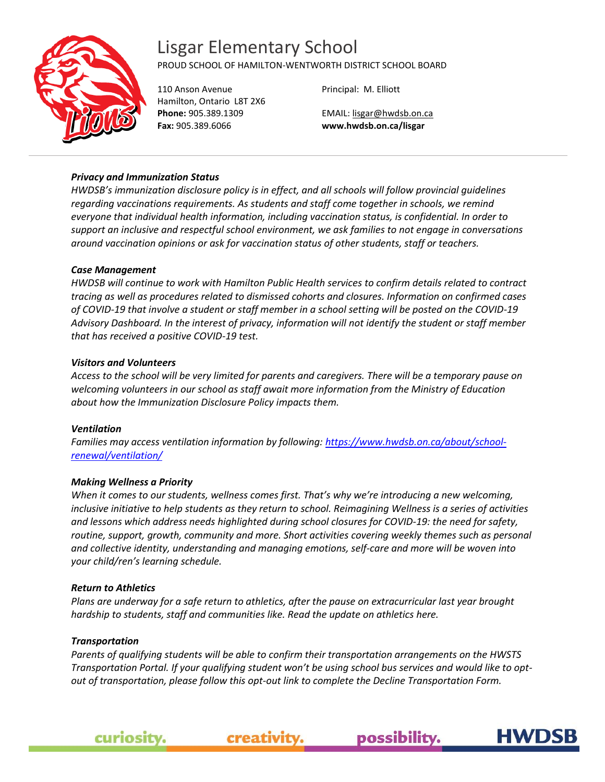## Lisgar Elementary School



PROUD SCHOOL OF HAMILTON-WENTWORTH DISTRICT SCHOOL BOARD

110 Anson Avenue Hamilton, Ontario L8T 2X6 **Phone:** 905.389.1309 **Fax:** 905.389.6066

Principal: M. Elliott

EMAIL[: lisgar@hwdsb.on.ca](mailto:lisgar@hwdsb.on.ca) **www.hwdsb.on.ca/lisgar**

#### *Privacy and Immunization Status*

*HWDSB's immunization disclosure policy is in effect, and all schools will follow provincial guidelines regarding vaccinations requirements. As students and staff come together in schools, we remind everyone that individual health information, including vaccination status, is confidential. In order to support an inclusive and respectful school environment, we ask families to not engage in conversations around vaccination opinions or ask for vaccination status of other students, staff or teachers.*

#### *Case Management*

*HWDSB will continue to work with Hamilton Public Health services to confirm details related to contract tracing as well as procedures related to dismissed cohorts and closures. Information on confirmed cases of COVID-19 that involve a student or staff member in a school setting will be posted on the COVID-19 Advisory Dashboard. In the interest of privacy, information will not identify the student or staff member that has received a positive COVID-19 test.*

#### *Visitors and Volunteers*

*Access to the school will be very limited for parents and caregivers. There will be a temporary pause on welcoming volunteers in our school as staff await more information from the Ministry of Education about how the Immunization Disclosure Policy impacts them.*

#### *Ventilation*

*Families may access ventilation information by following: [https://www.hwdsb.on.ca/about/school](https://www.hwdsb.on.ca/about/school-renewal/ventilation/)[renewal/ventilation/](https://www.hwdsb.on.ca/about/school-renewal/ventilation/)*

#### *Making Wellness a Priority*

*When it comes to our students, wellness comes first. That's why we're introducing a new welcoming, inclusive initiative to help students as they return to school. Reimagining Wellness is a series of activities and lessons which address needs highlighted during school closures for COVID-19: the need for safety, routine, support, growth, community and more. Short activities covering weekly themes such as personal and collective identity, understanding and managing emotions, self-care and more will be woven into your child/ren's learning schedule.*

#### *Return to Athletics*

*Plans are underway for a safe return to athletics, after the pause on extracurricular last year brought hardship to students, staff and communities like. Read the update on athletics here.*

#### *Transportation*

*Parents of qualifying students will be able to confirm their transportation arrangements on the HWSTS Transportation Portal. If your qualifying student won't be using school bus services and would like to optout of transportation, please follow this opt-out link to complete the Decline Transportation Form.*

creativity.

possibility.

**HWDS** 

curiosity.